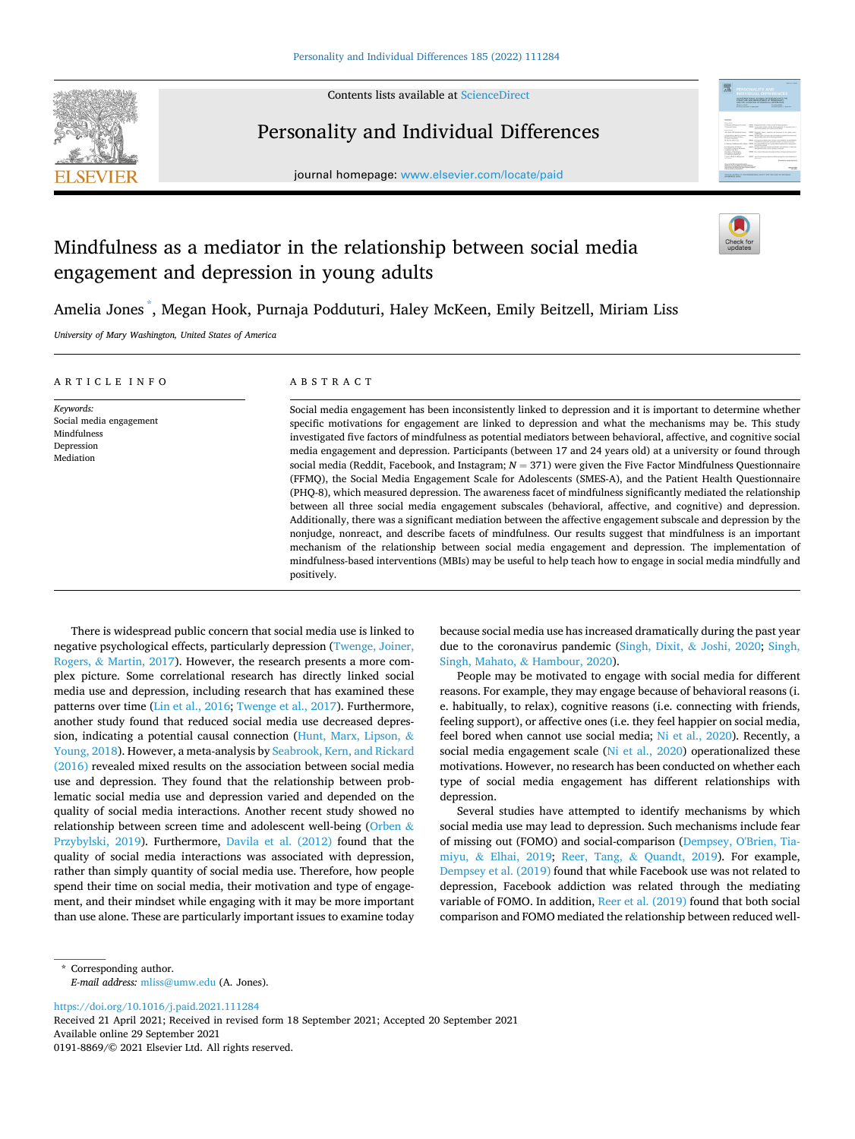

Contents lists available at [ScienceDirect](www.sciencedirect.com/science/journal/01918869)

# Personality and Individual Differences

journal homepage: [www.elsevier.com/locate/paid](https://www.elsevier.com/locate/paid)



# Mindfulness as a mediator in the relationship between social media engagement and depression in young adults

Amelia Jones \* , Megan Hook, Purnaja Podduturi, Haley McKeen, Emily Beitzell, Miriam Liss

*University of Mary Washington, United States of America* 

| ARTICLE INFO                                                                   | ABSTRACT                                                                                                                                                                                                                                                                                                                                                                                                                                                                                                                                                                                                                                                                                                                                                                                                                                                                                                                                                                                                                                                                                                                                                                                                                                                                                                                                                                                                  |
|--------------------------------------------------------------------------------|-----------------------------------------------------------------------------------------------------------------------------------------------------------------------------------------------------------------------------------------------------------------------------------------------------------------------------------------------------------------------------------------------------------------------------------------------------------------------------------------------------------------------------------------------------------------------------------------------------------------------------------------------------------------------------------------------------------------------------------------------------------------------------------------------------------------------------------------------------------------------------------------------------------------------------------------------------------------------------------------------------------------------------------------------------------------------------------------------------------------------------------------------------------------------------------------------------------------------------------------------------------------------------------------------------------------------------------------------------------------------------------------------------------|
| Keywords:<br>Social media engagement<br>Mindfulness<br>Depression<br>Mediation | Social media engagement has been inconsistently linked to depression and it is important to determine whether<br>specific motivations for engagement are linked to depression and what the mechanisms may be. This study<br>investigated five factors of mindfulness as potential mediators between behavioral, affective, and cognitive social<br>media engagement and depression. Participants (between 17 and 24 years old) at a university or found through<br>social media (Reddit, Facebook, and Instagram; $N = 371$ ) were given the Five Factor Mindfulness Questionnaire<br>(FFMQ), the Social Media Engagement Scale for Adolescents (SMES-A), and the Patient Health Questionnaire<br>(PHO-8), which measured depression. The awareness facet of mindfulness significantly mediated the relationship<br>between all three social media engagement subscales (behavioral, affective, and cognitive) and depression.<br>Additionally, there was a significant mediation between the affective engagement subscale and depression by the<br>nonjudge, nonreact, and describe facets of mindfulness. Our results suggest that mindfulness is an important<br>mechanism of the relationship between social media engagement and depression. The implementation of<br>mindfulness-based interventions (MBIs) may be useful to help teach how to engage in social media mindfully and<br>positively. |

There is widespread public concern that social media use is linked to negative psychological effects, particularly depression [\(Twenge, Joiner,](#page-5-0)  Rogers, & [Martin, 2017\)](#page-5-0). However, the research presents a more complex picture. Some correlational research has directly linked social media use and depression, including research that has examined these patterns over time [\(Lin et al., 2016; Twenge et al., 2017\)](#page-5-0). Furthermore, another study found that reduced social media use decreased depression, indicating a potential causal connection [\(Hunt, Marx, Lipson,](#page-5-0) & [Young, 2018\)](#page-5-0). However, a meta-analysis by [Seabrook, Kern, and Rickard](#page-5-0)  [\(2016\)](#page-5-0) revealed mixed results on the association between social media use and depression. They found that the relationship between problematic social media use and depression varied and depended on the quality of social media interactions. Another recent study showed no relationship between screen time and adolescent well-being ([Orben](#page-5-0) & [Przybylski, 2019](#page-5-0)). Furthermore, [Davila et al. \(2012\)](#page-5-0) found that the quality of social media interactions was associated with depression, rather than simply quantity of social media use. Therefore, how people spend their time on social media, their motivation and type of engagement, and their mindset while engaging with it may be more important than use alone. These are particularly important issues to examine today because social media use has increased dramatically during the past year due to the coronavirus pandemic ([Singh, Dixit,](#page-5-0) & Joshi, 2020; [Singh,](#page-5-0)  Singh, Mahato, & [Hambour, 2020\)](#page-5-0).

People may be motivated to engage with social media for different reasons. For example, they may engage because of behavioral reasons (i. e. habitually, to relax), cognitive reasons (i.e. connecting with friends, feeling support), or affective ones (i.e. they feel happier on social media, feel bored when cannot use social media; [Ni et al., 2020\)](#page-5-0). Recently, a social media engagement scale [\(Ni et al., 2020\)](#page-5-0) operationalized these motivations. However, no research has been conducted on whether each type of social media engagement has different relationships with depression.

Several studies have attempted to identify mechanisms by which social media use may lead to depression. Such mechanisms include fear of missing out (FOMO) and social-comparison [\(Dempsey, O'Brien, Tia](#page-5-0)miyu, & [Elhai, 2019;](#page-5-0) Reer, Tang, & [Quandt, 2019\)](#page-5-0). For example, [Dempsey et al. \(2019\)](#page-5-0) found that while Facebook use was not related to depression, Facebook addiction was related through the mediating variable of FOMO. In addition, [Reer et al. \(2019\)](#page-5-0) found that both social comparison and FOMO mediated the relationship between reduced well-

<https://doi.org/10.1016/j.paid.2021.111284>

Available online 29 September 2021 0191-8869/© 2021 Elsevier Ltd. All rights reserved. Received 21 April 2021; Received in revised form 18 September 2021; Accepted 20 September 2021

<sup>\*</sup> Corresponding author. *E-mail address:* [mliss@umw.edu](mailto:mliss@umw.edu) (A. Jones).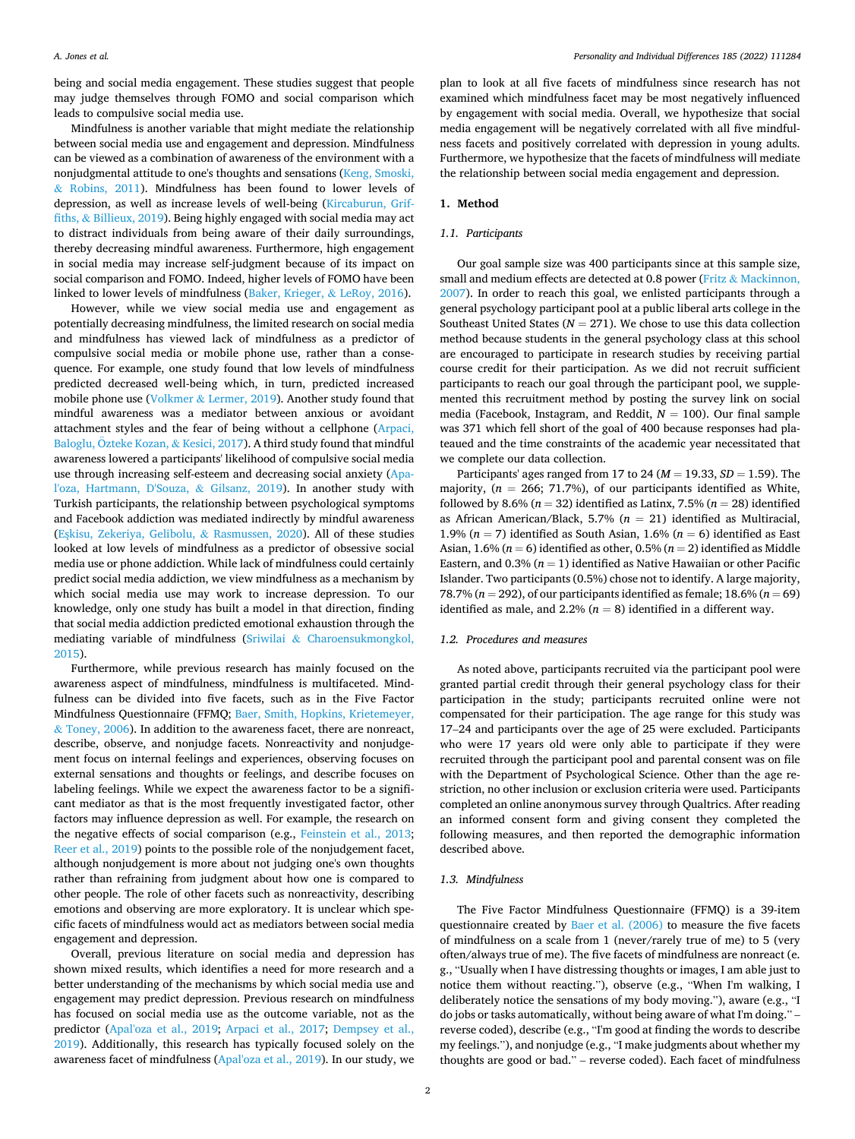being and social media engagement. These studies suggest that people may judge themselves through FOMO and social comparison which leads to compulsive social media use.

Mindfulness is another variable that might mediate the relationship between social media use and engagement and depression. Mindfulness can be viewed as a combination of awareness of the environment with a nonjudgmental attitude to one's thoughts and sensations [\(Keng, Smoski,](#page-5-0)  & [Robins, 2011\)](#page-5-0). Mindfulness has been found to lower levels of depression, as well as increase levels of well-being ([Kircaburun, Grif](#page-5-0)fiths, & [Billieux, 2019](#page-5-0)). Being highly engaged with social media may act to distract individuals from being aware of their daily surroundings, thereby decreasing mindful awareness. Furthermore, high engagement in social media may increase self-judgment because of its impact on social comparison and FOMO. Indeed, higher levels of FOMO have been linked to lower levels of mindfulness [\(Baker, Krieger,](#page-5-0) & LeRoy, 2016).

However, while we view social media use and engagement as potentially decreasing mindfulness, the limited research on social media and mindfulness has viewed lack of mindfulness as a predictor of compulsive social media or mobile phone use, rather than a consequence. For example, one study found that low levels of mindfulness predicted decreased well-being which, in turn, predicted increased mobile phone use (Volkmer & [Lermer, 2019\)](#page-5-0). Another study found that mindful awareness was a mediator between anxious or avoidant attachment styles and the fear of being without a cellphone [\(Arpaci,](#page-5-0)  Baloglu, Özteke Kozan, & Kesici, 2017). A third study found that mindful awareness lowered a participants' likelihood of compulsive social media use through increasing self-esteem and decreasing social anxiety [\(Apa](#page-5-0)[l'oza, Hartmann, D'Souza,](#page-5-0) & Gilsanz, 2019). In another study with Turkish participants, the relationship between psychological symptoms and Facebook addiction was mediated indirectly by mindful awareness (Eşkisu, Zekeriya, Gelibolu, & Rasmussen, 2020). All of these studies looked at low levels of mindfulness as a predictor of obsessive social media use or phone addiction. While lack of mindfulness could certainly predict social media addiction, we view mindfulness as a mechanism by which social media use may work to increase depression. To our knowledge, only one study has built a model in that direction, finding that social media addiction predicted emotional exhaustion through the mediating variable of mindfulness (Sriwilai & [Charoensukmongkol,](#page-5-0)  [2015\)](#page-5-0).

Furthermore, while previous research has mainly focused on the awareness aspect of mindfulness, mindfulness is multifaceted. Mindfulness can be divided into five facets, such as in the Five Factor Mindfulness Questionnaire (FFMQ; [Baer, Smith, Hopkins, Krietemeyer,](#page-5-0)  & [Toney, 2006](#page-5-0)). In addition to the awareness facet, there are nonreact, describe, observe, and nonjudge facets. Nonreactivity and nonjudgement focus on internal feelings and experiences, observing focuses on external sensations and thoughts or feelings, and describe focuses on labeling feelings. While we expect the awareness factor to be a significant mediator as that is the most frequently investigated factor, other factors may influence depression as well. For example, the research on the negative effects of social comparison (e.g., [Feinstein et al., 2013](#page-5-0); [Reer et al., 2019\)](#page-5-0) points to the possible role of the nonjudgement facet, although nonjudgement is more about not judging one's own thoughts rather than refraining from judgment about how one is compared to other people. The role of other facets such as nonreactivity, describing emotions and observing are more exploratory. It is unclear which specific facets of mindfulness would act as mediators between social media engagement and depression.

Overall, previous literature on social media and depression has shown mixed results, which identifies a need for more research and a better understanding of the mechanisms by which social media use and engagement may predict depression. Previous research on mindfulness has focused on social media use as the outcome variable, not as the predictor [\(Apal'oza et al., 2019;](#page-5-0) [Arpaci et al., 2017;](#page-5-0) [Dempsey et al.,](#page-5-0)  [2019\)](#page-5-0). Additionally, this research has typically focused solely on the awareness facet of mindfulness [\(Apal'oza et al., 2019\)](#page-5-0). In our study, we

plan to look at all five facets of mindfulness since research has not examined which mindfulness facet may be most negatively influenced by engagement with social media. Overall, we hypothesize that social media engagement will be negatively correlated with all five mindfulness facets and positively correlated with depression in young adults. Furthermore, we hypothesize that the facets of mindfulness will mediate the relationship between social media engagement and depression.

#### **1. Method**

#### *1.1. Participants*

Our goal sample size was 400 participants since at this sample size, small and medium effects are detected at 0.8 power (Fritz & Mackinnon, [2007\)](#page-5-0). In order to reach this goal, we enlisted participants through a general psychology participant pool at a public liberal arts college in the Southeast United States ( $N = 271$ ). We chose to use this data collection method because students in the general psychology class at this school are encouraged to participate in research studies by receiving partial course credit for their participation. As we did not recruit sufficient participants to reach our goal through the participant pool, we supplemented this recruitment method by posting the survey link on social media (Facebook, Instagram, and Reddit, *N* = 100). Our final sample was 371 which fell short of the goal of 400 because responses had plateaued and the time constraints of the academic year necessitated that we complete our data collection.

Participants' ages ranged from 17 to 24 (*M* = 19.33, *SD* = 1.59). The majority,  $(n = 266; 71.7%)$ , of our participants identified as White, followed by 8.6% ( $n = 32$ ) identified as Latinx, 7.5% ( $n = 28$ ) identified as African American/Black, 5.7% (*n* = 21) identified as Multiracial, 1.9% ( $n = 7$ ) identified as South Asian, 1.6% ( $n = 6$ ) identified as East Asian,  $1.6\%$  ( $n = 6$ ) identified as other,  $0.5\%$  ( $n = 2$ ) identified as Middle Eastern, and  $0.3\%$  ( $n = 1$ ) identified as Native Hawaiian or other Pacific Islander. Two participants (0.5%) chose not to identify. A large majority, 78.7% (*n* = 292), of our participants identified as female; 18.6% (*n* = 69) identified as male, and 2.2% ( $n = 8$ ) identified in a different way.

### *1.2. Procedures and measures*

As noted above, participants recruited via the participant pool were granted partial credit through their general psychology class for their participation in the study; participants recruited online were not compensated for their participation. The age range for this study was 17–24 and participants over the age of 25 were excluded. Participants who were 17 years old were only able to participate if they were recruited through the participant pool and parental consent was on file with the Department of Psychological Science. Other than the age restriction, no other inclusion or exclusion criteria were used. Participants completed an online anonymous survey through Qualtrics. After reading an informed consent form and giving consent they completed the following measures, and then reported the demographic information described above.

#### *1.3. Mindfulness*

The Five Factor Mindfulness Questionnaire (FFMQ) is a 39-item questionnaire created by [Baer et al. \(2006\)](#page-5-0) to measure the five facets of mindfulness on a scale from 1 (never/rarely true of me) to 5 (very often/always true of me). The five facets of mindfulness are nonreact (e. g., "Usually when I have distressing thoughts or images, I am able just to notice them without reacting."), observe (e.g., "When I'm walking, I deliberately notice the sensations of my body moving."), aware (e.g., "I do jobs or tasks automatically, without being aware of what I'm doing." – reverse coded), describe (e.g., "I'm good at finding the words to describe my feelings."), and nonjudge (e.g., "I make judgments about whether my thoughts are good or bad." – reverse coded). Each facet of mindfulness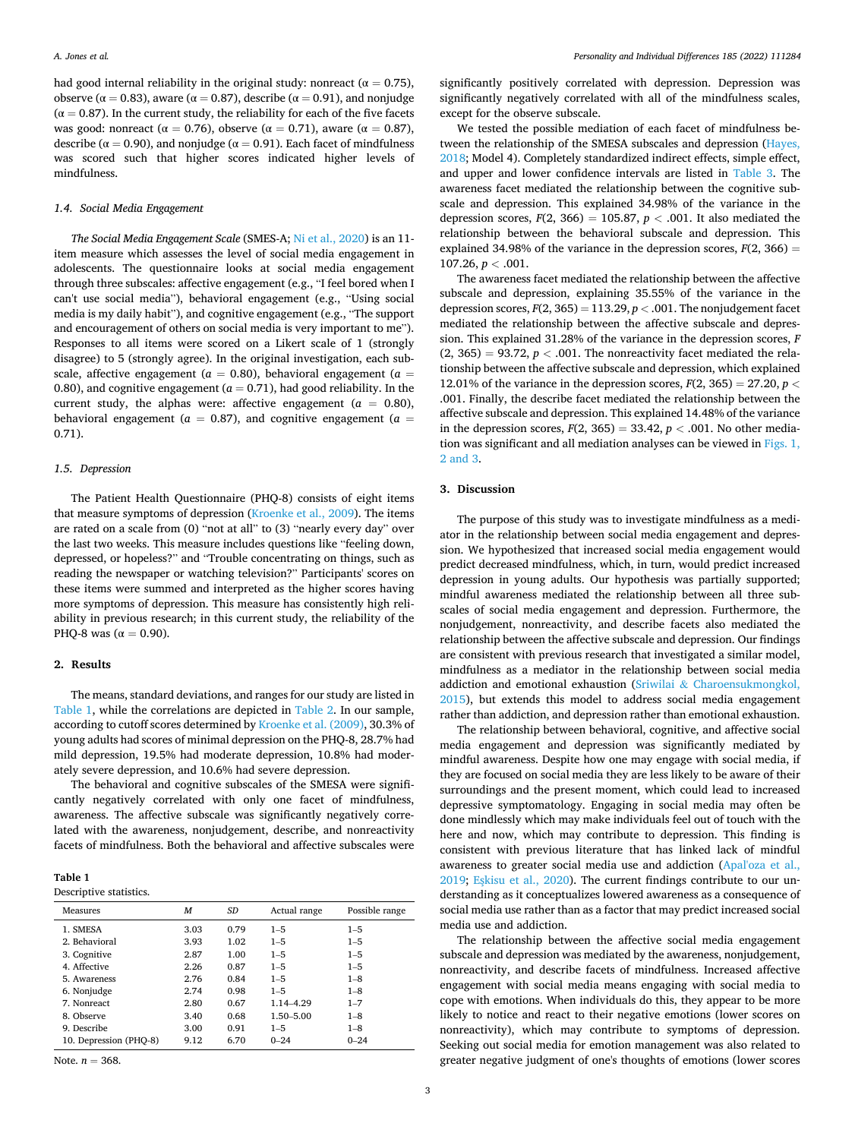had good internal reliability in the original study: nonreact ( $\alpha = 0.75$ ), observe ( $\alpha$  = 0.83), aware ( $\alpha$  = 0.87), describe ( $\alpha$  = 0.91), and nonjudge  $(\alpha = 0.87)$ . In the current study, the reliability for each of the five facets was good: nonreact ( $\alpha = 0.76$ ), observe ( $\alpha = 0.71$ ), aware ( $\alpha = 0.87$ ), describe ( $\alpha = 0.90$ ), and nonjudge ( $\alpha = 0.91$ ). Each facet of mindfulness was scored such that higher scores indicated higher levels of mindfulness.

### *1.4. Social Media Engagement*

*The Social Media Engagement Scale* (SMES-A; [Ni et al., 2020](#page-5-0)) is an 11 item measure which assesses the level of social media engagement in adolescents. The questionnaire looks at social media engagement through three subscales: affective engagement (e.g., "I feel bored when I can't use social media"), behavioral engagement (e.g., "Using social media is my daily habit"), and cognitive engagement (e.g., "The support and encouragement of others on social media is very important to me"). Responses to all items were scored on a Likert scale of 1 (strongly disagree) to 5 (strongly agree). In the original investigation, each subscale, affective engagement ( $a = 0.80$ ), behavioral engagement ( $a =$ 0.80), and cognitive engagement ( $a = 0.71$ ), had good reliability. In the current study, the alphas were: affective engagement ( $a = 0.80$ ), behavioral engagement ( $a = 0.87$ ), and cognitive engagement ( $a =$ 0.71).

#### *1.5. Depression*

The Patient Health Questionnaire (PHQ-8) consists of eight items that measure symptoms of depression [\(Kroenke et al., 2009\)](#page-5-0). The items are rated on a scale from (0) "not at all" to (3) "nearly every day" over the last two weeks. This measure includes questions like "feeling down, depressed, or hopeless?" and "Trouble concentrating on things, such as reading the newspaper or watching television?" Participants' scores on these items were summed and interpreted as the higher scores having more symptoms of depression. This measure has consistently high reliability in previous research; in this current study, the reliability of the PHQ-8 was ( $\alpha = 0.90$ ).

#### **2. Results**

The means, standard deviations, and ranges for our study are listed in Table 1, while the correlations are depicted in [Table 2](#page-3-0). In our sample, according to cutoff scores determined by [Kroenke et al. \(2009\),](#page-5-0) 30.3% of young adults had scores of minimal depression on the PHQ-8, 28.7% had mild depression, 19.5% had moderate depression, 10.8% had moderately severe depression, and 10.6% had severe depression.

The behavioral and cognitive subscales of the SMESA were significantly negatively correlated with only one facet of mindfulness, awareness. The affective subscale was significantly negatively correlated with the awareness, nonjudgement, describe, and nonreactivity facets of mindfulness. Both the behavioral and affective subscales were

| Table 1                |  |
|------------------------|--|
| Descriptive statistics |  |

| Measures               | M    | SD   | Actual range | Possible range |
|------------------------|------|------|--------------|----------------|
| 1. SMESA               | 3.03 | 0.79 | $1 - 5$      | $1 - 5$        |
| 2. Behavioral          | 3.93 | 1.02 | $1 - 5$      | $1 - 5$        |
| 3. Cognitive           | 2.87 | 1.00 | $1 - 5$      | $1 - 5$        |
| 4. Affective           | 2.26 | 0.87 | $1 - 5$      | $1 - 5$        |
| 5. Awareness           | 2.76 | 0.84 | $1 - 5$      | $1 - 8$        |
| 6. Nonjudge            | 2.74 | 0.98 | $1 - 5$      | $1 - 8$        |
| 7. Nonreact            | 2.80 | 0.67 | 1.14-4.29    | $1 - 7$        |
| 8. Observe             | 3.40 | 0.68 | 1.50-5.00    | $1 - 8$        |
| 9. Describe            | 3.00 | 0.91 | $1 - 5$      | $1 - 8$        |
| 10. Depression (PHQ-8) | 9.12 | 6.70 | $0 - 24$     | $0 - 24$       |
|                        |      |      |              |                |

Note.  $n = 368$ .

significantly positively correlated with depression. Depression was significantly negatively correlated with all of the mindfulness scales, except for the observe subscale.

We tested the possible mediation of each facet of mindfulness between the relationship of the SMESA subscales and depression [\(Hayes,](#page-5-0)  [2018;](#page-5-0) Model 4). Completely standardized indirect effects, simple effect, and upper and lower confidence intervals are listed in [Table 3.](#page-3-0) The awareness facet mediated the relationship between the cognitive subscale and depression. This explained 34.98% of the variance in the depression scores,  $F(2, 366) = 105.87$ ,  $p < .001$ . It also mediated the relationship between the behavioral subscale and depression. This explained 34.98% of the variance in the depression scores,  $F(2, 366) =$ 107.26, *p <* .001.

The awareness facet mediated the relationship between the affective subscale and depression, explaining 35.55% of the variance in the depression scores,  $F(2, 365) = 113.29$ ,  $p < .001$ . The nonjudgement facet mediated the relationship between the affective subscale and depression. This explained 31.28% of the variance in the depression scores, *F*   $(2, 365) = 93.72$ ,  $p < .001$ . The nonreactivity facet mediated the relationship between the affective subscale and depression, which explained 12.01% of the variance in the depression scores,  $F(2, 365) = 27.20$ ,  $p <$ .001. Finally, the describe facet mediated the relationship between the affective subscale and depression. This explained 14.48% of the variance in the depression scores,  $F(2, 365) = 33.42$ ,  $p < .001$ . No other mediation was significant and all mediation analyses can be viewed in [Figs. 1,](#page-3-0)  [2 and 3](#page-3-0).

### **3. Discussion**

The purpose of this study was to investigate mindfulness as a mediator in the relationship between social media engagement and depression. We hypothesized that increased social media engagement would predict decreased mindfulness, which, in turn, would predict increased depression in young adults. Our hypothesis was partially supported; mindful awareness mediated the relationship between all three subscales of social media engagement and depression. Furthermore, the nonjudgement, nonreactivity, and describe facets also mediated the relationship between the affective subscale and depression. Our findings are consistent with previous research that investigated a similar model, mindfulness as a mediator in the relationship between social media addiction and emotional exhaustion (Sriwilai & [Charoensukmongkol,](#page-5-0)  [2015\)](#page-5-0), but extends this model to address social media engagement rather than addiction, and depression rather than emotional exhaustion.

The relationship between behavioral, cognitive, and affective social media engagement and depression was significantly mediated by mindful awareness. Despite how one may engage with social media, if they are focused on social media they are less likely to be aware of their surroundings and the present moment, which could lead to increased depressive symptomatology. Engaging in social media may often be done mindlessly which may make individuals feel out of touch with the here and now, which may contribute to depression. This finding is consistent with previous literature that has linked lack of mindful awareness to greater social media use and addiction ([Apal'oza et al.,](#page-5-0)  [2019;](#page-5-0) Eskisu et al., 2020). The current findings contribute to our understanding as it conceptualizes lowered awareness as a consequence of social media use rather than as a factor that may predict increased social media use and addiction.

The relationship between the affective social media engagement subscale and depression was mediated by the awareness, nonjudgement, nonreactivity, and describe facets of mindfulness. Increased affective engagement with social media means engaging with social media to cope with emotions. When individuals do this, they appear to be more likely to notice and react to their negative emotions (lower scores on nonreactivity), which may contribute to symptoms of depression. Seeking out social media for emotion management was also related to greater negative judgment of one's thoughts of emotions (lower scores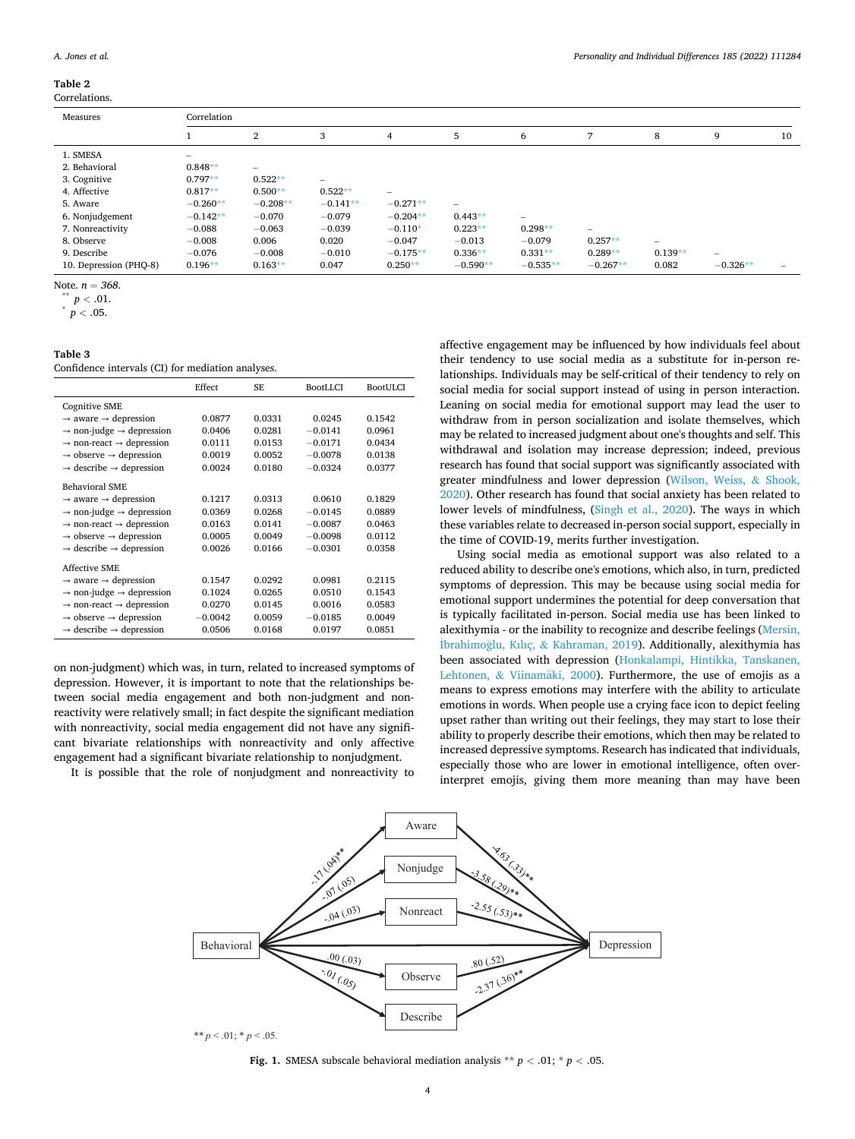#### <span id="page-3-0"></span>**Table 2**

Correlations.

| Measures               | Correlation              |                |                                 |                 |            |                                 |                          |           |            |    |
|------------------------|--------------------------|----------------|---------------------------------|-----------------|------------|---------------------------------|--------------------------|-----------|------------|----|
|                        |                          | $\overline{2}$ | 3                               | 4               | 5          | 6                               | 7                        | 8         | 9          | 10 |
| 1. SMESA               | $\overline{\phantom{0}}$ |                |                                 |                 |            |                                 |                          |           |            |    |
| 2. Behavioral          | $0.848**$                |                |                                 |                 |            |                                 |                          |           |            |    |
| 3. Cognitive           | $0.797**$                | $0.522**$      | $\hspace{0.1mm}-\hspace{0.1mm}$ |                 |            |                                 |                          |           |            |    |
| 4. Affective           | $0.817**$                | $0.500**$      | $0.522**$                       | $\qquad \qquad$ |            |                                 |                          |           |            |    |
| 5. Aware               | $-0.260**$               | $-0.208**$     | $-0.141**$                      | $-0.271**$      | $-$        |                                 |                          |           |            |    |
| 6. Nonjudgement        | $-0.142**$               | $-0.070$       | $-0.079$                        | $-0.204**$      | $0.443**$  | $\hspace{0.1mm}-\hspace{0.1mm}$ |                          |           |            |    |
| 7. Nonreactivity       | $-0.088$                 | $-0.063$       | $-0.039$                        | $-0.110*$       | $0.223**$  | $0.298**$                       | $\overline{\phantom{a}}$ |           |            |    |
| 8. Observe             | $-0.008$                 | 0.006          | 0.020                           | $-0.047$        | $-0.013$   | $-0.079$                        | $0.257**$                |           |            |    |
| 9. Describe            | $-0.076$                 | $-0.008$       | $-0.010$                        | $-0.175**$      | $0.336**$  | $0.331**$                       | $0.289**$                | $0.139**$ | $-$        |    |
| 10. Depression (PHQ-8) | $0.196**$                | $0.163**$      | 0.047                           | $0.250**$       | $-0.590**$ | $-0.535**$                      | $-0.267**$               | 0.082     | $-0.326**$ |    |

Note.  $n = 368$ .<br>\*\*  $p < .01$ .<br>\*  $p < .05$ .

| w<br>٧ | ×<br>۰, |
|--------|---------|
|--------|---------|

Confidence intervals (CI) for mediation analyses.

|                                                  | Effect    | SF.    | <b>BootLLCI</b> | <b>BootULCI</b> |
|--------------------------------------------------|-----------|--------|-----------------|-----------------|
| <b>Cognitive SME</b>                             |           |        |                 |                 |
| $\rightarrow$ aware $\rightarrow$ depression     | 0.0877    | 0.0331 | 0.0245          | 0.1542          |
| $\rightarrow$ non-judge $\rightarrow$ depression | 0.0406    | 0.0281 | $-0.0141$       | 0.0961          |
| $\rightarrow$ non-react $\rightarrow$ depression | 0.0111    | 0.0153 | $-0.0171$       | 0.0434          |
| $\rightarrow$ observe $\rightarrow$ depression   | 0.0019    | 0.0052 | $-0.0078$       | 0.0138          |
| $\rightarrow$ describe $\rightarrow$ depression  | 0.0024    | 0.0180 | $-0.0324$       | 0.0377          |
| Behavioral SME                                   |           |        |                 |                 |
| $\rightarrow$ aware $\rightarrow$ depression     | 0.1217    | 0.0313 | 0.0610          | 0.1829          |
| $\rightarrow$ non-judge $\rightarrow$ depression | 0.0369    | 0.0268 | $-0.0145$       | 0.0889          |
| $\rightarrow$ non-react $\rightarrow$ depression | 0.0163    | 0.0141 | $-0.0087$       | 0.0463          |
| $\rightarrow$ observe $\rightarrow$ depression   | 0.0005    | 0.0049 | $-0.0098$       | 0.0112          |
| $\rightarrow$ describe $\rightarrow$ depression  | 0.0026    | 0.0166 | $-0.0301$       | 0.0358          |
| Affective SME                                    |           |        |                 |                 |
| $\rightarrow$ aware $\rightarrow$ depression     | 0.1547    | 0.0292 | 0.0981          | 0.2115          |
| $\rightarrow$ non-judge $\rightarrow$ depression | 0.1024    | 0.0265 | 0.0510          | 0.1543          |
| $\rightarrow$ non-react $\rightarrow$ depression | 0.0270    | 0.0145 | 0.0016          | 0.0583          |
| $\rightarrow$ observe $\rightarrow$ depression   | $-0.0042$ | 0.0059 | $-0.0185$       | 0.0049          |
| $\rightarrow$ describe $\rightarrow$ depression  | 0.0506    | 0.0168 | 0.0197          | 0.0851          |

on non-judgment) which was, in turn, related to increased symptoms of depression. However, it is important to note that the relationships between social media engagement and both non-judgment and nonreactivity were relatively small; in fact despite the significant mediation with nonreactivity, social media engagement did not have any significant bivariate relationships with nonreactivity and only affective engagement had a significant bivariate relationship to nonjudgment.

It is possible that the role of nonjudgment and nonreactivity to

affective engagement may be influenced by how individuals feel about their tendency to use social media as a substitute for in-person relationships. Individuals may be self-critical of their tendency to rely on social media for social support instead of using in person interaction. Leaning on social media for emotional support may lead the user to withdraw from in person socialization and isolate themselves, which may be related to increased judgment about one's thoughts and self. This withdrawal and isolation may increase depression; indeed, previous research has found that social support was significantly associated with greater mindfulness and lower depression [\(Wilson, Weiss,](#page-5-0) & Shook, [2020\)](#page-5-0). Other research has found that social anxiety has been related to lower levels of mindfulness, [\(Singh et al., 2020\)](#page-5-0). The ways in which these variables relate to decreased in-person social support, especially in the time of COVID-19, merits further investigation.

Using social media as emotional support was also related to a reduced ability to describe one's emotions, which also, in turn, predicted symptoms of depression. This may be because using social media for emotional support undermines the potential for deep conversation that is typically facilitated in-person. Social media use has been linked to alexithymia - or the inability to recognize and describe feelings [\(Mersin,](#page-5-0)  İbrahimoğlu, Kılıç, & Kahraman, 2019). Additionally, alexithymia has been associated with depression ([Honkalampi, Hintikka, Tanskanen,](#page-5-0)  Lehtonen,  $& Viinamäki, 2000$ . Furthermore, the use of emojis as a means to express emotions may interfere with the ability to articulate emotions in words. When people use a crying face icon to depict feeling upset rather than writing out their feelings, they may start to lose their ability to properly describe their emotions, which then may be related to increased depressive symptoms. Research has indicated that individuals, especially those who are lower in emotional intelligence, often overinterpret emojis, giving them more meaning than may have been



**Fig. 1.** SMESA subscale behavioral mediation analysis \*\*  $p < .01$ ; \*  $p < .05$ .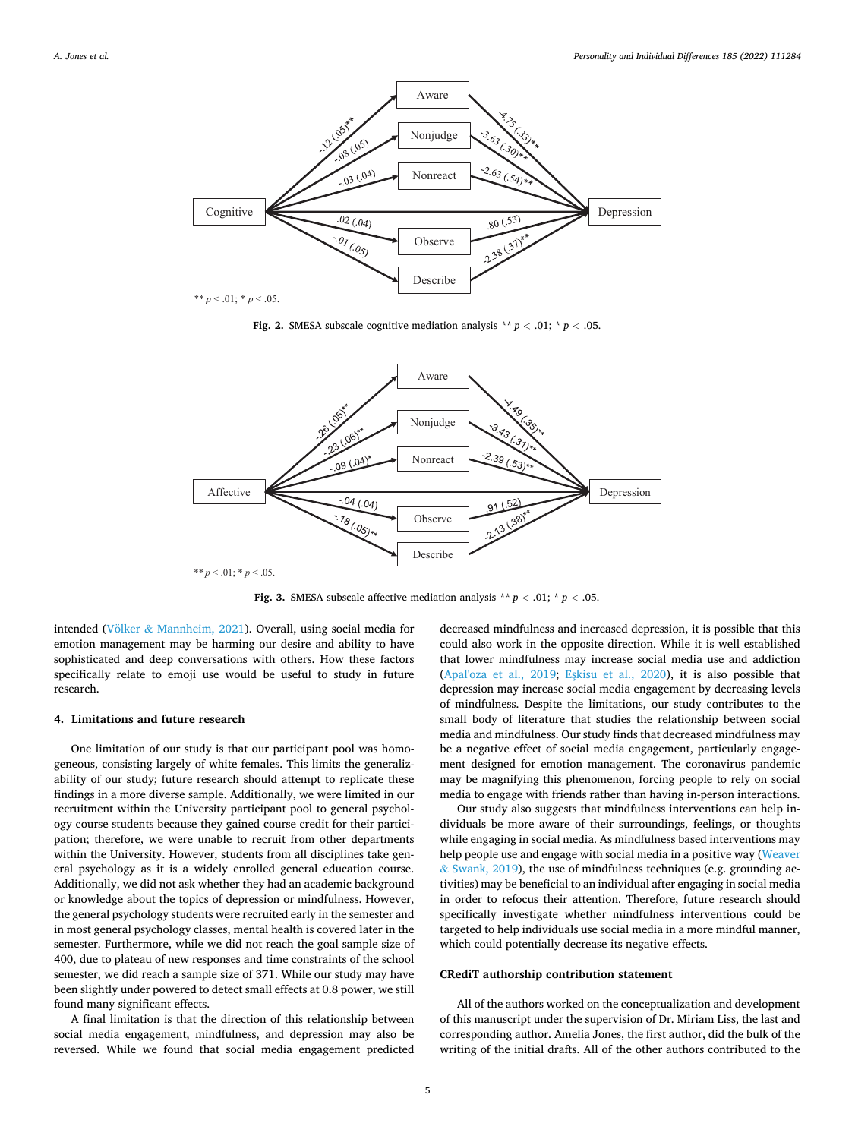

 $** p < .01; * p < .05$ .

**Fig. 2.** SMESA subscale cognitive mediation analysis  $*$   $p < .01$ ;  $*$   $p < .05$ .



**Fig. 3.** SMESA subscale affective mediation analysis  $*$   $*$   $p$   $<$  .01;  $*$   $p$   $<$  .05.

intended (Völker & [Mannheim, 2021](#page-5-0)). Overall, using social media for emotion management may be harming our desire and ability to have sophisticated and deep conversations with others. How these factors specifically relate to emoji use would be useful to study in future research.

#### **4. Limitations and future research**

One limitation of our study is that our participant pool was homogeneous, consisting largely of white females. This limits the generalizability of our study; future research should attempt to replicate these findings in a more diverse sample. Additionally, we were limited in our recruitment within the University participant pool to general psychology course students because they gained course credit for their participation; therefore, we were unable to recruit from other departments within the University. However, students from all disciplines take general psychology as it is a widely enrolled general education course. Additionally, we did not ask whether they had an academic background or knowledge about the topics of depression or mindfulness. However, the general psychology students were recruited early in the semester and in most general psychology classes, mental health is covered later in the semester. Furthermore, while we did not reach the goal sample size of 400, due to plateau of new responses and time constraints of the school semester, we did reach a sample size of 371. While our study may have been slightly under powered to detect small effects at 0.8 power, we still found many significant effects.

A final limitation is that the direction of this relationship between social media engagement, mindfulness, and depression may also be reversed. While we found that social media engagement predicted

decreased mindfulness and increased depression, it is possible that this could also work in the opposite direction. While it is well established that lower mindfulness may increase social media use and addiction ([Apal'oza et al., 2019](#page-5-0); Eskisu et al., 2020), it is also possible that depression may increase social media engagement by decreasing levels of mindfulness. Despite the limitations, our study contributes to the small body of literature that studies the relationship between social media and mindfulness. Our study finds that decreased mindfulness may be a negative effect of social media engagement, particularly engagement designed for emotion management. The coronavirus pandemic may be magnifying this phenomenon, forcing people to rely on social media to engage with friends rather than having in-person interactions.

Our study also suggests that mindfulness interventions can help individuals be more aware of their surroundings, feelings, or thoughts while engaging in social media. As mindfulness based interventions may help people use and engage with social media in a positive way [\(Weaver](#page-5-0)  & [Swank, 2019\)](#page-5-0), the use of mindfulness techniques (e.g. grounding activities) may be beneficial to an individual after engaging in social media in order to refocus their attention. Therefore, future research should specifically investigate whether mindfulness interventions could be targeted to help individuals use social media in a more mindful manner, which could potentially decrease its negative effects.

## **CRediT authorship contribution statement**

All of the authors worked on the conceptualization and development of this manuscript under the supervision of Dr. Miriam Liss, the last and corresponding author. Amelia Jones, the first author, did the bulk of the writing of the initial drafts. All of the other authors contributed to the